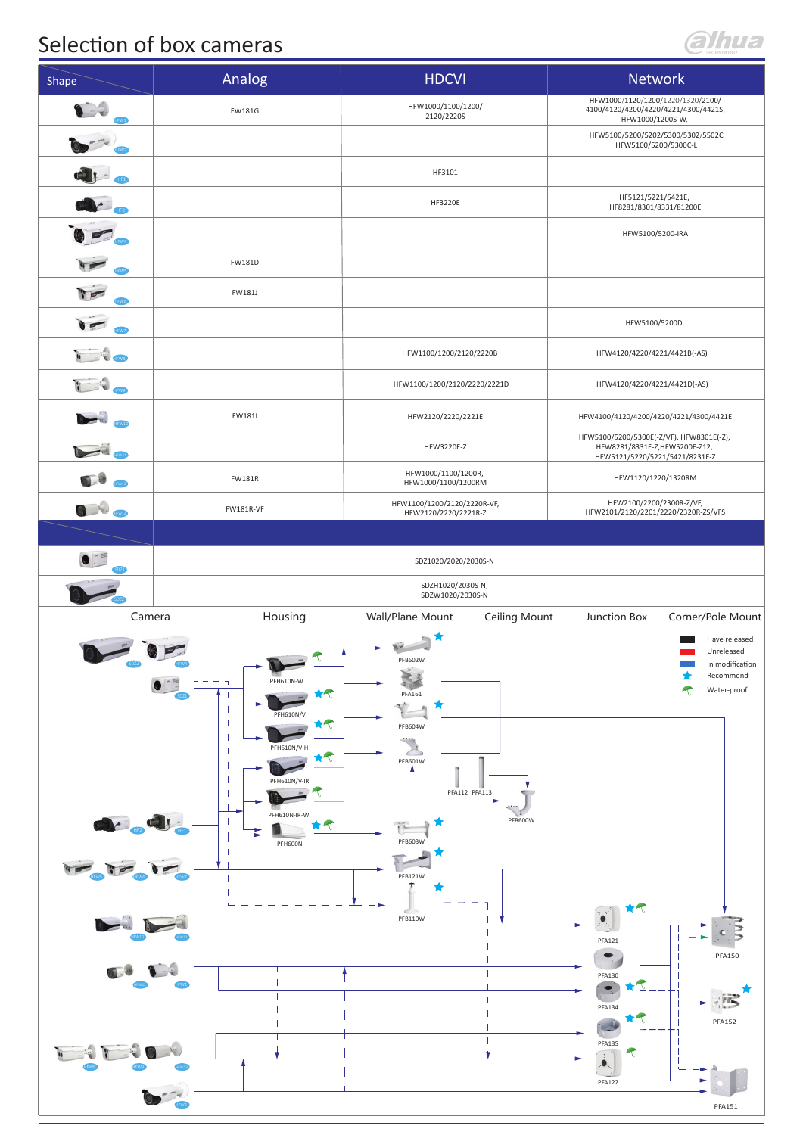## Selection of box cameras

## alhua

| Shape               | Analog                                                                                                                                                                                                                   | <b>HDCVI</b>                                                                                                                                               | Network                                                                                                                                                                                                         |
|---------------------|--------------------------------------------------------------------------------------------------------------------------------------------------------------------------------------------------------------------------|------------------------------------------------------------------------------------------------------------------------------------------------------------|-----------------------------------------------------------------------------------------------------------------------------------------------------------------------------------------------------------------|
|                     | <b>FW181G</b>                                                                                                                                                                                                            | HFW1000/1100/1200/<br>2120/2220S                                                                                                                           | HFW1000/1120/1200/1220/1320/2100/<br>4100/4120/4200/4220/4221/4300/44215,<br>HFW1000/1200S-W,                                                                                                                   |
|                     |                                                                                                                                                                                                                          |                                                                                                                                                            | HFW5100/5200/5202/5300/5302/5502C<br>HFW5100/5200/5300C-L                                                                                                                                                       |
|                     |                                                                                                                                                                                                                          | HF3101                                                                                                                                                     |                                                                                                                                                                                                                 |
|                     |                                                                                                                                                                                                                          | HF3220E                                                                                                                                                    | HF5121/5221/5421E,<br>HF8281/8301/8331/81200E                                                                                                                                                                   |
|                     |                                                                                                                                                                                                                          |                                                                                                                                                            | HFW5100/5200-IRA                                                                                                                                                                                                |
|                     | <b>FW181D</b>                                                                                                                                                                                                            |                                                                                                                                                            |                                                                                                                                                                                                                 |
|                     | FW181J                                                                                                                                                                                                                   |                                                                                                                                                            |                                                                                                                                                                                                                 |
|                     |                                                                                                                                                                                                                          |                                                                                                                                                            | HFW5100/5200D                                                                                                                                                                                                   |
|                     |                                                                                                                                                                                                                          | HFW1100/1200/2120/2220B                                                                                                                                    | HFW4120/4220/4221/4421B(-AS)                                                                                                                                                                                    |
|                     |                                                                                                                                                                                                                          | HFW1100/1200/2120/2220/2221D                                                                                                                               | HFW4120/4220/4221/4421D(-AS)                                                                                                                                                                                    |
|                     | FW181I                                                                                                                                                                                                                   | HFW2120/2220/2221E                                                                                                                                         | HFW4100/4120/4200/4220/4221/4300/4421E                                                                                                                                                                          |
|                     |                                                                                                                                                                                                                          | HFW3220E-Z                                                                                                                                                 | HFW5100/5200/5300E(-Z/VF), HFW8301E(-Z),<br>HFW8281/8331E-Z,HFW5200E-Z12,<br>HFW5121/5220/5221/5421/8231E-Z                                                                                                     |
|                     | <b>FW181R</b>                                                                                                                                                                                                            | HFW1000/1100/1200R,<br>HFW1000/1100/1200RM                                                                                                                 | HFW1120/1220/1320RM                                                                                                                                                                                             |
| $\mathbf{C}$ , then | <b>FW181R-VF</b>                                                                                                                                                                                                         | HFW1100/1200/2120/2220R-VF,<br>HFW2120/2220/2221R-Z                                                                                                        | HFW2100/2200/2300R-Z/VF,<br>HFW2101/2120/2201/2220/2320R-ZS/VFS                                                                                                                                                 |
|                     |                                                                                                                                                                                                                          |                                                                                                                                                            |                                                                                                                                                                                                                 |
|                     |                                                                                                                                                                                                                          | SDZ1020/2020/2030S-N<br>SDZH1020/2030S-N,                                                                                                                  |                                                                                                                                                                                                                 |
| Camera              | Housing                                                                                                                                                                                                                  | SDZW1020/2030S-N<br>Wall/Plane Mount<br>Ceiling Mount                                                                                                      | Corner/Pole Mount<br>Junction Box                                                                                                                                                                               |
| 11                  | $\bullet$<br>$\blacksquare$ = $\blacksquare$<br>PFH610N-W<br>$\mathbb{R}^n$<br>$\bullet$<br>$\star \tau$<br>PFH610N/V<br>$*$<br>PFH610N/V-H<br>$\star \tau$<br>PFH610N/V-IR<br>PFH610N-IR-W<br>$\star$ $\tau$<br>PFH600N | PFB602W<br>≷<br>圖<br>PFA161<br>$\frac{1}{2}$<br>PFB604W<br>$\sim$<br>PFB601W<br>PFA112 PFA113<br><b>PFB600W</b><br>PFB603W<br>PFB121W<br>$\tau$<br>PFB110W | Have released<br>Unreleased<br>In modification<br>★<br>Recommend<br>R<br>Water-proof<br>$\star \tau$<br>$\bullet$<br>PFA121<br>$\bullet$<br>PFA150<br>PFA130<br>$\bullet$<br>PFA134<br>1 laun<br>$\star$ $\tau$ |
|                     |                                                                                                                                                                                                                          |                                                                                                                                                            | <b>PFA152</b><br>e.<br><b>PFA135</b><br>$\overline{\bullet}$<br><b>PFA122</b><br>PFA151                                                                                                                         |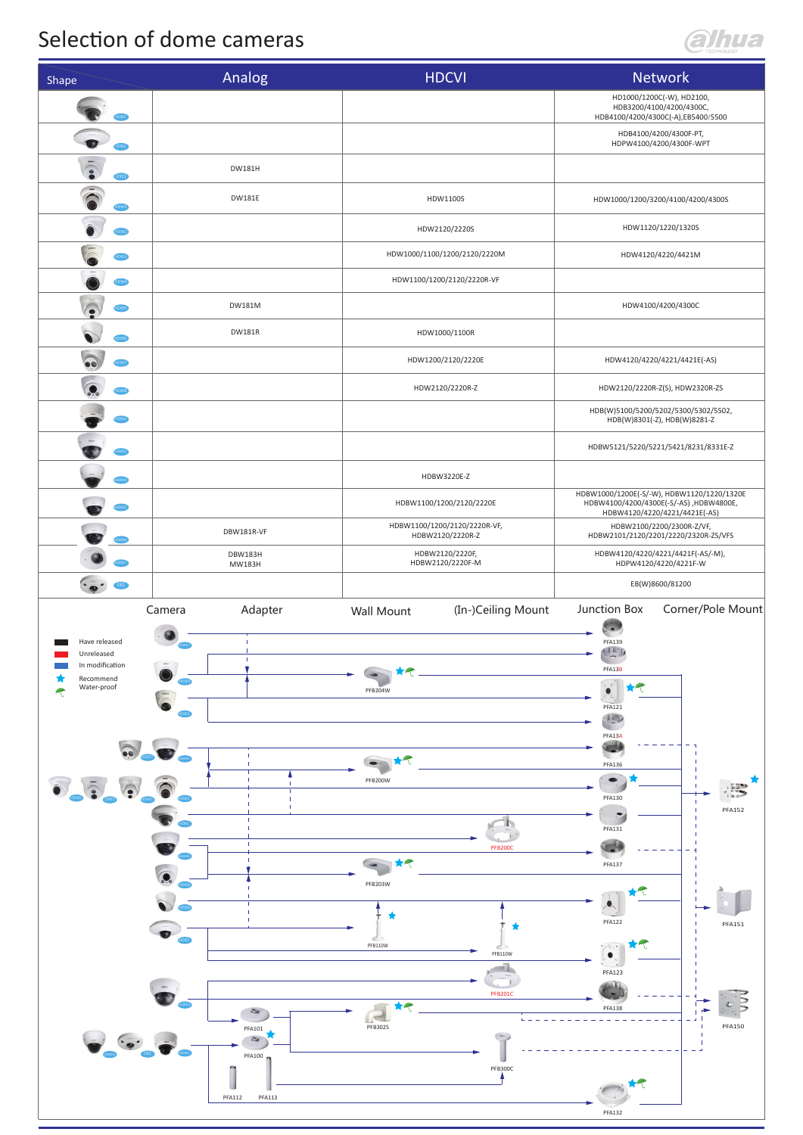## Selection of dome cameras



| Shape                                                          | Analog                         | <b>HDCVI</b>                                     | <b>Network</b>                                                                                                         |
|----------------------------------------------------------------|--------------------------------|--------------------------------------------------|------------------------------------------------------------------------------------------------------------------------|
|                                                                |                                |                                                  | HD1000/1200C(-W), HD2100,<br>HDB3200/4100/4200/4300C,<br>HDB4100/4200/4300C(-A),EB5400/5500                            |
| $\bullet$<br>HDB2                                              |                                |                                                  | HDB4100/4200/4300F-PT,<br>HDPW4100/4200/4300F-WPT                                                                      |
| <b>DW1</b>                                                     | DW181H                         |                                                  |                                                                                                                        |
| $\sum_{i=1}^{n}$                                               | <b>DW181E</b>                  | HDW1100S                                         | HDW1000/1200/3200/4100/4200/4300S                                                                                      |
|                                                                |                                | HDW2120/2220S                                    | HDW1120/1220/1320S                                                                                                     |
|                                                                |                                | HDW1000/1100/1200/2120/2220M                     | HDW4120/4220/4421M                                                                                                     |
| IDW4                                                           |                                | HDW1100/1200/2120/2220R-VF                       |                                                                                                                        |
| <b>HDWS</b>                                                    | DW181M                         |                                                  | HDW4100/4200/4300C                                                                                                     |
|                                                                | <b>DW181R</b>                  | HDW1000/1100R                                    |                                                                                                                        |
| $\odot$<br>IDW7                                                |                                | HDW1200/2120/2220E                               | HDW4120/4220/4221/4421E(-AS)                                                                                           |
| HDW8                                                           |                                | HDW2120/2220R-Z                                  | HDW2120/2220R-Z(S), HDW2320R-ZS<br>HDB(W)5100/5200/5202/5300/5302/5502,                                                |
|                                                                |                                |                                                  | HDB(W)8301(-Z), HDB(W)8281-Z                                                                                           |
|                                                                |                                |                                                  | HDBW5121/5220/5221/5421/8231/8331E-Z                                                                                   |
|                                                                |                                | HDBW3220E-Z                                      |                                                                                                                        |
|                                                                |                                | HDBW1100/1200/2120/2220E                         | HDBW1000/1200E(-S/-W), HDBW1120/1220/1320E<br>HDBW4100/4200/4300E(-S/-AS) ,HDBW4800E,<br>HDBW4120/4220/4221/4421E(-AS) |
|                                                                | DBW181R-VF                     | HDBW1100/1200/2120/2220R-VF,<br>HDBW2120/2220R-Z | HDBW2100/2200/2300R-Z/VF,<br>HDBW2101/2120/2201/2220/2320R-ZS/VFS                                                      |
|                                                                | <b>DBW183H</b><br>MW183H       | HDBW2120/2220F,<br>HDBW2120/2220F-M              | HDBW4120/4220/4221/4421F(-AS/-M),<br>HDPW4120/4220/4221F-W                                                             |
| $\cdot \bullet \cdot$<br><b>EB1</b>                            |                                |                                                  | EB(W)8600/81200                                                                                                        |
|                                                                | Adapter<br>Camera              | (In-)Ceiling Mount<br>Wall Mount                 | Junction Box<br>Corner/Pole Mount                                                                                      |
| Have released<br>Unreleased                                    | $\mathbf I$                    |                                                  | PFA139<br>71120                                                                                                        |
| In modification<br>Recommend<br>Water-proof                    |                                |                                                  | PFA13B<br>$\mathbf{C}$<br>$\star \uparrow$                                                                             |
|                                                                |                                | PFB204W                                          | PFA121                                                                                                                 |
|                                                                |                                |                                                  | $\frac{1}{100}$<br>PFA13A                                                                                              |
|                                                                |                                |                                                  | <b>PFA136</b>                                                                                                          |
| $\begin{array}{c}\n\bullet \\ \bullet \\ \bullet\n\end{array}$ |                                | PFB200W                                          | PFA130                                                                                                                 |
|                                                                |                                |                                                  | <b>PFA152</b>                                                                                                          |
|                                                                |                                | <b>PFB200C</b>                                   | PFA131                                                                                                                 |
|                                                                |                                | $*$                                              | <b>PFA137</b>                                                                                                          |
|                                                                |                                | PFB203W                                          |                                                                                                                        |
|                                                                |                                | 背                                                | PFA122<br>PFA151                                                                                                       |
|                                                                |                                | PFB110W<br>PFB110W                               | ÷т.<br>$\sim$                                                                                                          |
|                                                                |                                | <b>PFB201C</b>                                   | <b>PFA123</b>                                                                                                          |
|                                                                | $\Rightarrow$                  | $\star \uparrow$<br><b>C</b>                     | <b>PFA138</b>                                                                                                          |
|                                                                | PFA101<br>$\epsilon$           | <b>PFB302S</b>                                   | <b>PFA150</b>                                                                                                          |
|                                                                | PFA100                         | PFB300C                                          |                                                                                                                        |
|                                                                | <b>PFA112</b><br><b>PFA113</b> |                                                  |                                                                                                                        |
|                                                                |                                |                                                  | <b>PFA132</b>                                                                                                          |